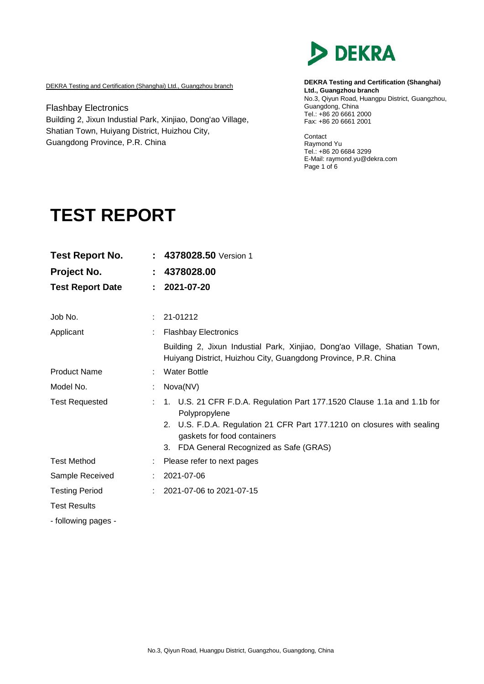

DEKRA Testing and Certification (Shanghai) Ltd., Guangzhou branch

Flashbay Electronics Building 2, Jixun Industial Park, Xinjiao, Dong'ao Village, Shatian Town, Huiyang District, Huizhou City, Guangdong Province, P.R. China

**DEKRA Testing and Certification (Shanghai) Ltd., Guangzhou branch** No.3, Qiyun Road, Huangpu District, Guangzhou, Guangdong, China Fax: +86 20 6661 2001 Tel.: +86 20 6661 2000

**Contact** Raymond Yu Tel.: +86 20 6684 3299 E-Mail: raymond.yu@dekra.com Page 1 of 6

# **TEST REPORT**

| <b>Test Report No.</b>  |    | 4378028.50 Version 1                                                                                                                                                                                                                           |  |  |
|-------------------------|----|------------------------------------------------------------------------------------------------------------------------------------------------------------------------------------------------------------------------------------------------|--|--|
| Project No.             |    | 4378028.00                                                                                                                                                                                                                                     |  |  |
| <b>Test Report Date</b> | ÷. | 2021-07-20                                                                                                                                                                                                                                     |  |  |
| Job No.                 |    | 21-01212                                                                                                                                                                                                                                       |  |  |
| Applicant               |    | <b>Flashbay Electronics</b>                                                                                                                                                                                                                    |  |  |
|                         |    | Building 2, Jixun Industial Park, Xinjiao, Dong'ao Village, Shatian Town,<br>Huiyang District, Huizhou City, Guangdong Province, P.R. China                                                                                                    |  |  |
| <b>Product Name</b>     |    | <b>Water Bottle</b>                                                                                                                                                                                                                            |  |  |
| Model No.               |    | Nova(NV)                                                                                                                                                                                                                                       |  |  |
| <b>Test Requested</b>   |    | 1. U.S. 21 CFR F.D.A. Regulation Part 177.1520 Clause 1.1a and 1.1b for<br>Polypropylene<br>2. U.S. F.D.A. Regulation 21 CFR Part 177.1210 on closures with sealing<br>gaskets for food containers<br>3. FDA General Recognized as Safe (GRAS) |  |  |
| <b>Test Method</b>      |    | Please refer to next pages                                                                                                                                                                                                                     |  |  |
| Sample Received         |    | 2021-07-06                                                                                                                                                                                                                                     |  |  |
| <b>Testing Period</b>   |    | 2021-07-06 to 2021-07-15                                                                                                                                                                                                                       |  |  |
| <b>Test Results</b>     |    |                                                                                                                                                                                                                                                |  |  |
| - following pages -     |    |                                                                                                                                                                                                                                                |  |  |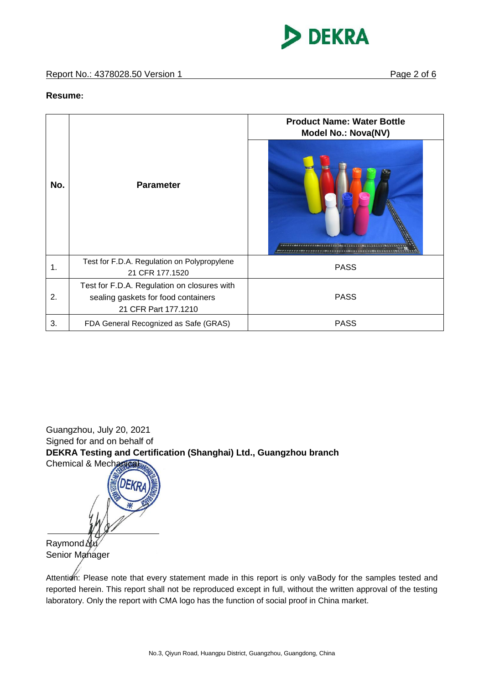

### **Resume:**

|     |                                                                                                            | <b>Product Name: Water Bottle</b><br><b>Model No.: Nova(NV)</b> |  |  |
|-----|------------------------------------------------------------------------------------------------------------|-----------------------------------------------------------------|--|--|
| No. | <b>Parameter</b>                                                                                           |                                                                 |  |  |
| 1.  | Test for F.D.A. Regulation on Polypropylene<br>21 CFR 177.1520                                             | <b>PASS</b>                                                     |  |  |
| 2.  | Test for F.D.A. Regulation on closures with<br>sealing gaskets for food containers<br>21 CFR Part 177.1210 | <b>PASS</b>                                                     |  |  |
| 3.  | FDA General Recognized as Safe (GRAS)                                                                      | <b>PASS</b>                                                     |  |  |

Guangzhou, July 20, 2021 Signed for and on behalf of **DEKRA Testing and Certification (Shanghai) Ltd., Guangzhou branch** Chemical & Mechanical

 $Raymond\Delta$ Senior Manager

Attention: Please note that every statement made in this report is only vaBody for the samples tested and reported herein. This report shall not be reproduced except in full, without the written approval of the testing laboratory. Only the report with CMA logo has the function of social proof in China market.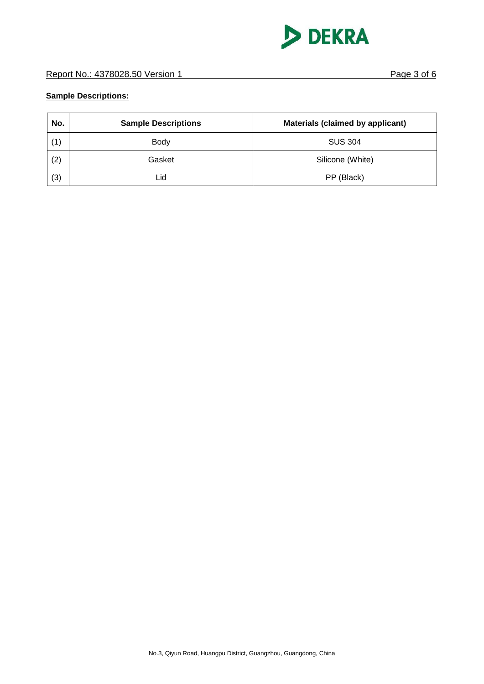

## **Sample Descriptions:**

| No. | <b>Sample Descriptions</b> | <b>Materials (claimed by applicant)</b> |
|-----|----------------------------|-----------------------------------------|
| (1) | <b>Body</b>                | <b>SUS 304</b>                          |
| (2) | Gasket                     | Silicone (White)                        |
| (3) | Lid                        | PP (Black)                              |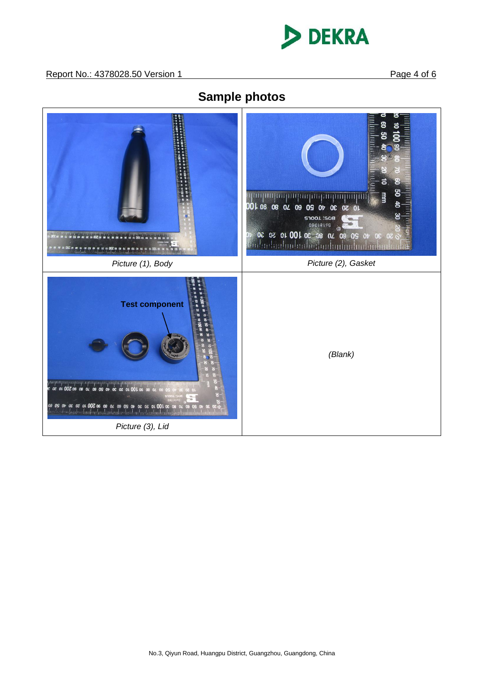

**Sample photos**

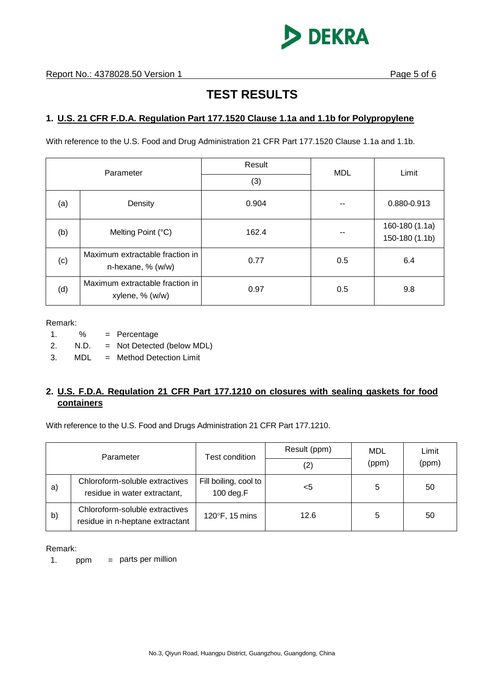

# **TEST RESULTS**

# **1. U.S. 21 CFR F.D.A. Regulation Part 177.1520 Clause 1.1a and 1.1b for Polypropylene**

With reference to the U.S. Food and Drug Administration 21 CFR Part 177.1520 Clause 1.1a and 1.1b.

| Parameter |                                                      | Result<br>(3) | <b>MDL</b> | Limit                            |
|-----------|------------------------------------------------------|---------------|------------|----------------------------------|
| (a)       | Density                                              | 0.904         |            | 0.880-0.913                      |
| (b)       | Melting Point (°C)                                   | 162.4         |            | 160-180 (1.1a)<br>150-180 (1.1b) |
| (c)       | Maximum extractable fraction in<br>n-hexane, % (w/w) | 0.77          | 0.5        | 6.4                              |
| (d)       | Maximum extractable fraction in<br>xylene, % (w/w)   | 0.97          | 0.5        | 9.8                              |

Remark:

- 1. % = Percentage
- 2. N.D. = Not Detected (below MDL)
- 3. MDL = Method Detection Limit

# **2. U.S. F.D.A. Regulation 21 CFR Part 177.1210 on closures with sealing gaskets for food containers**

With reference to the U.S. Food and Drugs Administration 21 CFR Part 177.1210.

| Parameter |                                                                   | Test condition                     | Result (ppm)<br>(2) | MDL<br>(ppm) | Limit<br>(ppm) |
|-----------|-------------------------------------------------------------------|------------------------------------|---------------------|--------------|----------------|
| a)        | Chloroform-soluble extractives<br>residue in water extractant,    | Fill boiling, cool to<br>100 deg.F | <5                  | 5            | 50             |
| b)        | Chloroform-soluble extractives<br>residue in n-heptane extractant | 120°F, 15 mins                     | 12.6                | 5            | 50             |

Remark:

1. ppm  $=$  parts per million